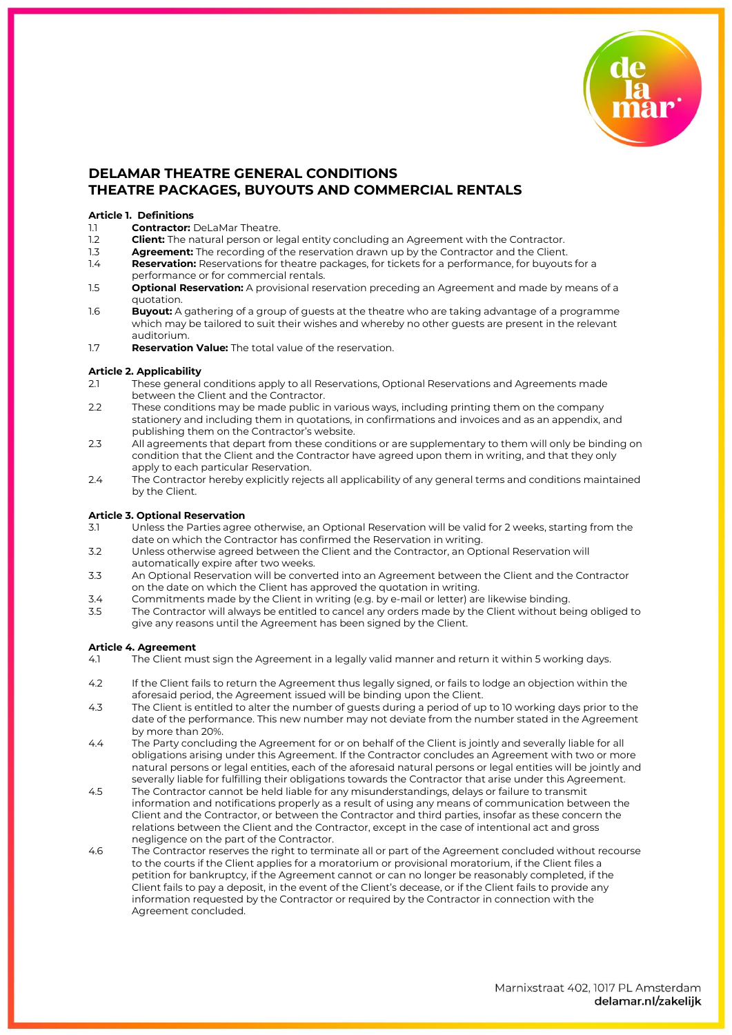

# **DELAMAR THEATRE GENERAL CONDITIONS THEATRE PACKAGES, BUYOUTS AND COMMERCIAL RENTALS**

## **Article 1. Definitions**

- 1.1 **Contractor:** DeLaMar Theatre.<br>12 **Client:** The natural person or le
- 1.2 **Client:** The natural person or legal entity concluding an Agreement with the Contractor.<br>1.3 **Agreement:** The recording of the reservation drawn up by the Contractor and the Client.
- 1.3 **Agreement:** The recording of the reservation drawn up by the Contractor and the Client.<br>1.4 **Reservation:** Reservations for theatre packages, for tickets for a performance, for buyouts
- Reservation: Reservations for theatre packages, for tickets for a performance, for buyouts for a performance or for commercial rentals.
- 1.5 **Optional Reservation:** A provisional reservation preceding an Agreement and made by means of a quotation.
- 1.6 **Buyout:** A gathering of a group of guests at the theatre who are taking advantage of a programme which may be tailored to suit their wishes and whereby no other guests are present in the relevant auditorium.
- 1.7 **Reservation Value:** The total value of the reservation.

#### **Article 2. Applicability**

- 2.1 These general conditions apply to all Reservations, Optional Reservations and Agreements made between the Client and the Contractor.
- 2.2 These conditions may be made public in various ways, including printing them on the company stationery and including them in quotations, in confirmations and invoices and as an appendix, and publishing them on the Contractor's website.
- 2.3 All agreements that depart from these conditions or are supplementary to them will only be binding on condition that the Client and the Contractor have agreed upon them in writing, and that they only apply to each particular Reservation.
- 2.4 The Contractor hereby explicitly rejects all applicability of any general terms and conditions maintained by the Client.

## **Article 3. Optional Reservation**

- 3.1 Unless the Parties agree otherwise, an Optional Reservation will be valid for 2 weeks, starting from the date on which the Contractor has confirmed the Reservation in writing.
- 3.2 Unless otherwise agreed between the Client and the Contractor, an Optional Reservation will automatically expire after two weeks.
- 3.3 An Optional Reservation will be converted into an Agreement between the Client and the Contractor on the date on which the Client has approved the quotation in writing.
- 3.4 Commitments made by the Client in writing (e.g. by e-mail or letter) are likewise binding.
- The Contractor will always be entitled to cancel any orders made by the Client without being obliged to give any reasons until the Agreement has been signed by the Client.

# **Article 4. Agreement**

- 4.1 The Client must sign the Agreement in a legally valid manner and return it within 5 working days.
- 4.2 If the Client fails to return the Agreement thus legally signed, or fails to lodge an objection within the aforesaid period, the Agreement issued will be binding upon the Client.
- 4.3 The Client is entitled to alter the number of guests during a period of up to 10 working days prior to the date of the performance. This new number may not deviate from the number stated in the Agreement by more than 20%.
- 4.4 The Party concluding the Agreement for or on behalf of the Client is jointly and severally liable for all obligations arising under this Agreement. If the Contractor concludes an Agreement with two or more natural persons or legal entities, each of the aforesaid natural persons or legal entities will be jointly and severally liable for fulfilling their obligations towards the Contractor that arise under this Agreement.
- 4.5 The Contractor cannot be held liable for any misunderstandings, delays or failure to transmit information and notifications properly as a result of using any means of communication between the Client and the Contractor, or between the Contractor and third parties, insofar as these concern the relations between the Client and the Contractor, except in the case of intentional act and gross negligence on the part of the Contractor.
- 4.6 The Contractor reserves the right to terminate all or part of the Agreement concluded without recourse to the courts if the Client applies for a moratorium or provisional moratorium, if the Client files a petition for bankruptcy, if the Agreement cannot or can no longer be reasonably completed, if the Client fails to pay a deposit, in the event of the Client's decease, or if the Client fails to provide any information requested by the Contractor or required by the Contractor in connection with the Agreement concluded.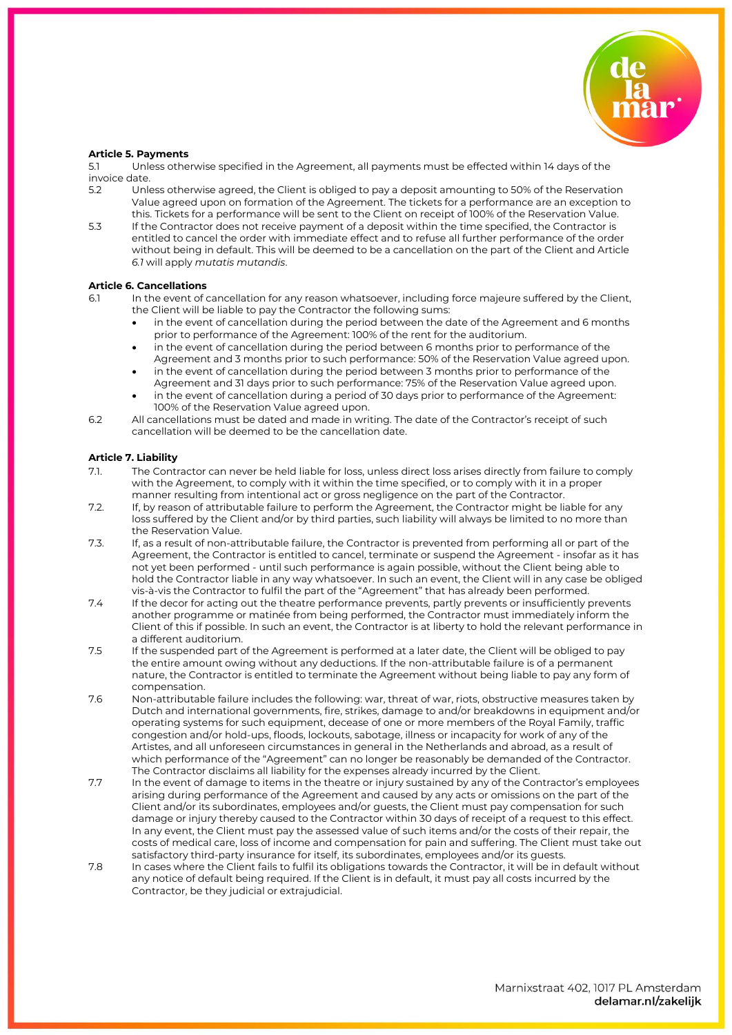

### **Article 5. Payments**

5.1 Unless otherwise specified in the Agreement, all payments must be effected within 14 days of the invoice date.

- 5.2 Unless otherwise agreed, the Client is obliged to pay a deposit amounting to 50% of the Reservation Value agreed upon on formation of the Agreement. The tickets for a performance are an exception to this. Tickets for a performance will be sent to the Client on receipt of 100% of the Reservation Value.
- 5.3 If the Contractor does not receive payment of a deposit within the time specified, the Contractor is entitled to cancel the order with immediate effect and to refuse all further performance of the order without being in default. This will be deemed to be a cancellation on the part of the Client and Article *6.1* will apply *mutatis mutandis*.

#### **Article 6. Cancellations**

- 6.1 In the event of cancellation for any reason whatsoever, including force majeure suffered by the Client, the Client will be liable to pay the Contractor the following sums:
	- in the event of cancellation during the period between the date of the Agreement and 6 months prior to performance of the Agreement: 100% of the rent for the auditorium.
	- in the event of cancellation during the period between 6 months prior to performance of the Agreement and 3 months prior to such performance: 50% of the Reservation Value agreed upon.
	- in the event of cancellation during the period between 3 months prior to performance of the Agreement and 31 days prior to such performance: 75% of the Reservation Value agreed upon.
	- in the event of cancellation during a period of 30 days prior to performance of the Agreement: 100% of the Reservation Value agreed upon.
- 6.2 All cancellations must be dated and made in writing. The date of the Contractor's receipt of such cancellation will be deemed to be the cancellation date.

# **Article 7. Liability**

- 7.1. The Contractor can never be held liable for loss, unless direct loss arises directly from failure to comply with the Agreement, to comply with it within the time specified, or to comply with it in a proper manner resulting from intentional act or gross negligence on the part of the Contractor.
- 7.2. If, by reason of attributable failure to perform the Agreement, the Contractor might be liable for any loss suffered by the Client and/or by third parties, such liability will always be limited to no more than the Reservation Value.
- 7.3. If, as a result of non-attributable failure, the Contractor is prevented from performing all or part of the Agreement, the Contractor is entitled to cancel, terminate or suspend the Agreement - insofar as it has not yet been performed - until such performance is again possible, without the Client being able to hold the Contractor liable in any way whatsoever. In such an event, the Client will in any case be obliged vis-à-vis the Contractor to fulfil the part of the "Agreement" that has already been performed.
- 7.4 If the decor for acting out the theatre performance prevents, partly prevents or insufficiently prevents another programme or matinée from being performed, the Contractor must immediately inform the Client of this if possible. In such an event, the Contractor is at liberty to hold the relevant performance in a different auditorium.
- 7.5 If the suspended part of the Agreement is performed at a later date, the Client will be obliged to pay the entire amount owing without any deductions. If the non-attributable failure is of a permanent nature, the Contractor is entitled to terminate the Agreement without being liable to pay any form of compensation.
- 7.6 Non-attributable failure includes the following: war, threat of war, riots, obstructive measures taken by Dutch and international governments, fire, strikes, damage to and/or breakdowns in equipment and/or operating systems for such equipment, decease of one or more members of the Royal Family, traffic congestion and/or hold-ups, floods, lockouts, sabotage, illness or incapacity for work of any of the Artistes, and all unforeseen circumstances in general in the Netherlands and abroad, as a result of which performance of the "Agreement" can no longer be reasonably be demanded of the Contractor. The Contractor disclaims all liability for the expenses already incurred by the Client.
- 7.7 In the event of damage to items in the theatre or injury sustained by any of the Contractor's employees arising during performance of the Agreement and caused by any acts or omissions on the part of the Client and/or its subordinates, employees and/or guests, the Client must pay compensation for such damage or injury thereby caused to the Contractor within 30 days of receipt of a request to this effect. In any event, the Client must pay the assessed value of such items and/or the costs of their repair, the costs of medical care, loss of income and compensation for pain and suffering. The Client must take out satisfactory third-party insurance for itself, its subordinates, employees and/or its guests.
- 7.8 In cases where the Client fails to fulfil its obligations towards the Contractor, it will be in default without any notice of default being required. If the Client is in default, it must pay all costs incurred by the Contractor, be they judicial or extrajudicial.